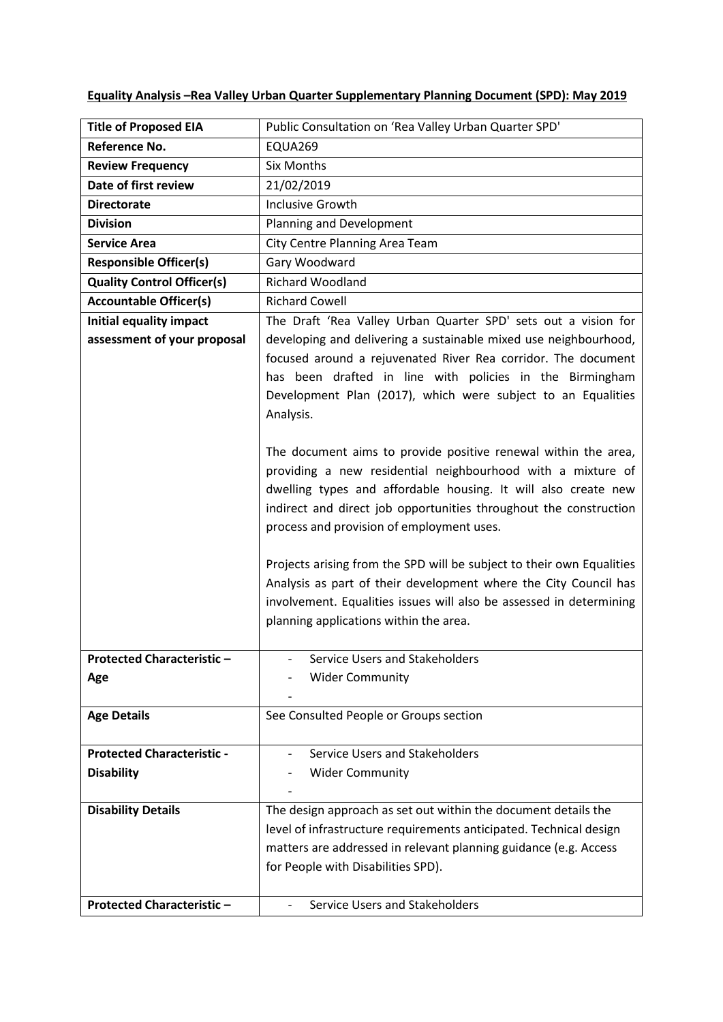| <b>Title of Proposed EIA</b>      | Public Consultation on 'Rea Valley Urban Quarter SPD'                                                                                                                                                                                                                                                                                                                                                                                                                                                         |
|-----------------------------------|---------------------------------------------------------------------------------------------------------------------------------------------------------------------------------------------------------------------------------------------------------------------------------------------------------------------------------------------------------------------------------------------------------------------------------------------------------------------------------------------------------------|
| <b>Reference No.</b>              | EQUA269                                                                                                                                                                                                                                                                                                                                                                                                                                                                                                       |
| <b>Review Frequency</b>           | <b>Six Months</b>                                                                                                                                                                                                                                                                                                                                                                                                                                                                                             |
| Date of first review              | 21/02/2019                                                                                                                                                                                                                                                                                                                                                                                                                                                                                                    |
| <b>Directorate</b>                | <b>Inclusive Growth</b>                                                                                                                                                                                                                                                                                                                                                                                                                                                                                       |
| <b>Division</b>                   | Planning and Development                                                                                                                                                                                                                                                                                                                                                                                                                                                                                      |
| <b>Service Area</b>               | City Centre Planning Area Team                                                                                                                                                                                                                                                                                                                                                                                                                                                                                |
| <b>Responsible Officer(s)</b>     | Gary Woodward                                                                                                                                                                                                                                                                                                                                                                                                                                                                                                 |
| <b>Quality Control Officer(s)</b> | <b>Richard Woodland</b>                                                                                                                                                                                                                                                                                                                                                                                                                                                                                       |
| <b>Accountable Officer(s)</b>     | <b>Richard Cowell</b>                                                                                                                                                                                                                                                                                                                                                                                                                                                                                         |
| Initial equality impact           | The Draft 'Rea Valley Urban Quarter SPD' sets out a vision for                                                                                                                                                                                                                                                                                                                                                                                                                                                |
| assessment of your proposal       | developing and delivering a sustainable mixed use neighbourhood,<br>focused around a rejuvenated River Rea corridor. The document<br>has been drafted in line with policies in the Birmingham<br>Development Plan (2017), which were subject to an Equalities<br>Analysis.<br>The document aims to provide positive renewal within the area,                                                                                                                                                                  |
|                                   | providing a new residential neighbourhood with a mixture of<br>dwelling types and affordable housing. It will also create new<br>indirect and direct job opportunities throughout the construction<br>process and provision of employment uses.<br>Projects arising from the SPD will be subject to their own Equalities<br>Analysis as part of their development where the City Council has<br>involvement. Equalities issues will also be assessed in determining<br>planning applications within the area. |
| <b>Protected Characteristic</b>   | Service Users and Stakeholders                                                                                                                                                                                                                                                                                                                                                                                                                                                                                |
| Age                               | <b>Wider Community</b>                                                                                                                                                                                                                                                                                                                                                                                                                                                                                        |
| <b>Age Details</b>                | See Consulted People or Groups section                                                                                                                                                                                                                                                                                                                                                                                                                                                                        |
| <b>Protected Characteristic -</b> | Service Users and Stakeholders                                                                                                                                                                                                                                                                                                                                                                                                                                                                                |
| <b>Disability</b>                 | <b>Wider Community</b>                                                                                                                                                                                                                                                                                                                                                                                                                                                                                        |
| <b>Disability Details</b>         | The design approach as set out within the document details the                                                                                                                                                                                                                                                                                                                                                                                                                                                |
|                                   | level of infrastructure requirements anticipated. Technical design                                                                                                                                                                                                                                                                                                                                                                                                                                            |
|                                   | matters are addressed in relevant planning guidance (e.g. Access<br>for People with Disabilities SPD).                                                                                                                                                                                                                                                                                                                                                                                                        |
| <b>Protected Characteristic -</b> | Service Users and Stakeholders                                                                                                                                                                                                                                                                                                                                                                                                                                                                                |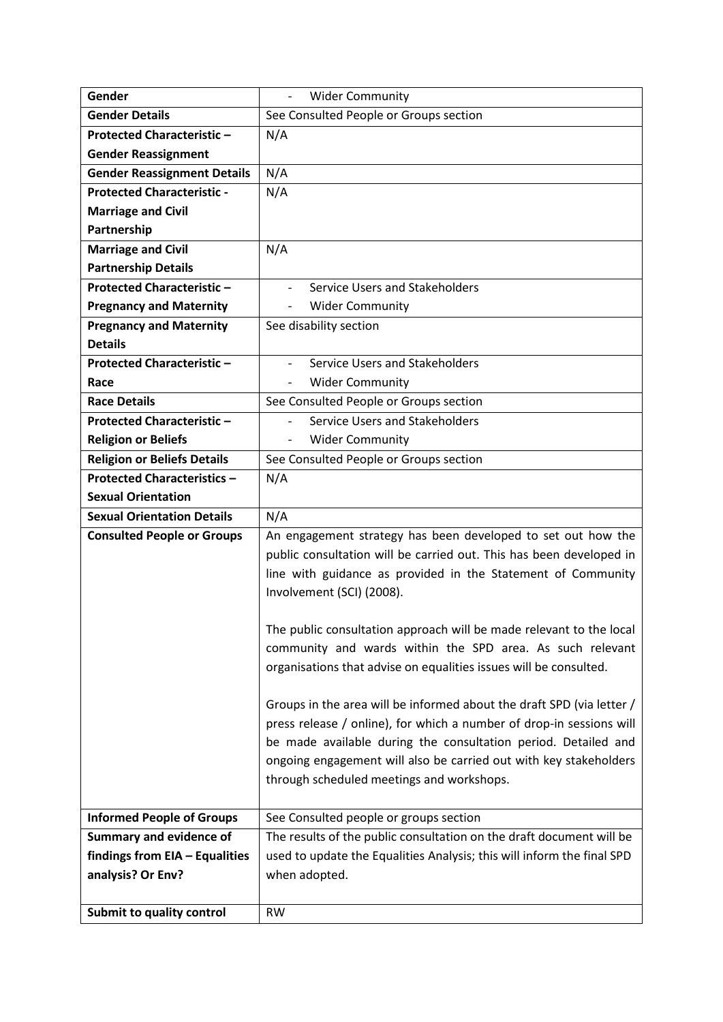| Gender                             | <b>Wider Community</b>                                                 |
|------------------------------------|------------------------------------------------------------------------|
| <b>Gender Details</b>              | See Consulted People or Groups section                                 |
| <b>Protected Characteristic-</b>   | N/A                                                                    |
| <b>Gender Reassignment</b>         |                                                                        |
| <b>Gender Reassignment Details</b> | N/A                                                                    |
| <b>Protected Characteristic -</b>  | N/A                                                                    |
| <b>Marriage and Civil</b>          |                                                                        |
| Partnership                        |                                                                        |
| <b>Marriage and Civil</b>          | N/A                                                                    |
| <b>Partnership Details</b>         |                                                                        |
| <b>Protected Characteristic -</b>  | Service Users and Stakeholders                                         |
| <b>Pregnancy and Maternity</b>     | <b>Wider Community</b>                                                 |
| <b>Pregnancy and Maternity</b>     | See disability section                                                 |
| <b>Details</b>                     |                                                                        |
| <b>Protected Characteristic -</b>  | Service Users and Stakeholders                                         |
| Race                               | <b>Wider Community</b>                                                 |
| <b>Race Details</b>                | See Consulted People or Groups section                                 |
| <b>Protected Characteristic -</b>  | Service Users and Stakeholders                                         |
| <b>Religion or Beliefs</b>         | <b>Wider Community</b><br>$\overline{\phantom{a}}$                     |
| <b>Religion or Beliefs Details</b> | See Consulted People or Groups section                                 |
| <b>Protected Characteristics -</b> | N/A                                                                    |
| <b>Sexual Orientation</b>          |                                                                        |
| <b>Sexual Orientation Details</b>  | N/A                                                                    |
| <b>Consulted People or Groups</b>  | An engagement strategy has been developed to set out how the           |
|                                    | public consultation will be carried out. This has been developed in    |
|                                    | line with guidance as provided in the Statement of Community           |
|                                    | Involvement (SCI) (2008).                                              |
|                                    |                                                                        |
|                                    | The public consultation approach will be made relevant to the local    |
|                                    | community and wards within the SPD area. As such relevant              |
|                                    | organisations that advise on equalities issues will be consulted.      |
|                                    |                                                                        |
|                                    | Groups in the area will be informed about the draft SPD (via letter /  |
|                                    | press release / online), for which a number of drop-in sessions will   |
|                                    | be made available during the consultation period. Detailed and         |
|                                    | ongoing engagement will also be carried out with key stakeholders      |
|                                    | through scheduled meetings and workshops.                              |
|                                    |                                                                        |
| <b>Informed People of Groups</b>   | See Consulted people or groups section                                 |
| <b>Summary and evidence of</b>     | The results of the public consultation on the draft document will be   |
| findings from EIA - Equalities     | used to update the Equalities Analysis; this will inform the final SPD |
| analysis? Or Env?                  | when adopted.                                                          |
|                                    |                                                                        |
| Submit to quality control          | <b>RW</b>                                                              |